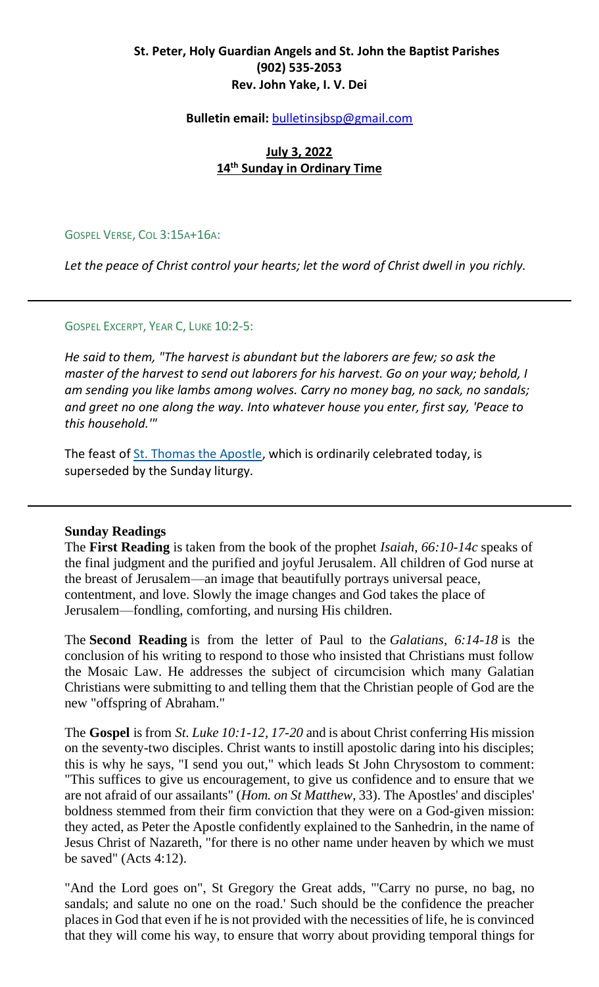## **St. Peter, Holy Guardian Angels and St. John the Baptist Parishes (902) 535-2053 Rev. John Yake, I. V. Dei**

#### **Bulletin email:** [bulletinsjbsp@gmail.com](mailto:bulletinsjbsp@gmail.com)

## **July 3, 2022 14th Sunday in Ordinary Time**

GOSPEL VERSE, COL 3:15A+16A:

*Let the peace of Christ control your hearts; let the word of Christ dwell in you richly.*

GOSPEL EXCERPT, YEAR C, LUKE 10:2-5:

*He said to them, "The harvest is abundant but the laborers are few; so ask the master of the harvest to send out laborers for his harvest. Go on your way; behold, I am sending you like lambs among wolves. Carry no money bag, no sack, no sandals; and greet no one along the way. Into whatever house you enter, first say, 'Peace to this household.'"*

The feast of [St. Thomas the Apostle,](https://www.catholicculture.org/culture/liturgicalyear/calendar/day.cfm?id=185) which is ordinarily celebrated today, is superseded by the Sunday liturgy.

## **Sunday Readings**

The **First Reading** is taken from the book of the prophet *Isaiah, 66:10-14c* speaks of the final judgment and the purified and joyful Jerusalem. All children of God nurse at the breast of Jerusalem—an image that beautifully portrays universal peace, contentment, and love. Slowly the image changes and God takes the place of Jerusalem—fondling, comforting, and nursing His children.

The **Second Reading** is from the letter of Paul to the *Galatians, 6:14-18* is the conclusion of his writing to respond to those who insisted that Christians must follow the Mosaic Law. He addresses the subject of circumcision which many Galatian Christians were submitting to and telling them that the Christian people of God are the new "offspring of Abraham."

The **Gospel** is from *St. Luke 10:1-12, 17-20* and is about Christ conferring His mission on the seventy-two disciples. Christ wants to instill apostolic daring into his disciples; this is why he says, "I send you out," which leads St John Chrysostom to comment: "This suffices to give us encouragement, to give us confidence and to ensure that we are not afraid of our assailants" (*Hom. on St Matthew*, 33). The Apostles' and disciples' boldness stemmed from their firm conviction that they were on a God-given mission: they acted, as Peter the Apostle confidently explained to the Sanhedrin, in the name of Jesus Christ of Nazareth, "for there is no other name under heaven by which we must be saved" (Acts 4:12).

"And the Lord goes on", St Gregory the Great adds, "'Carry no purse, no bag, no sandals; and salute no one on the road.' Such should be the confidence the preacher places in God that even if he is not provided with the necessities of life, he is convinced that they will come his way, to ensure that worry about providing temporal things for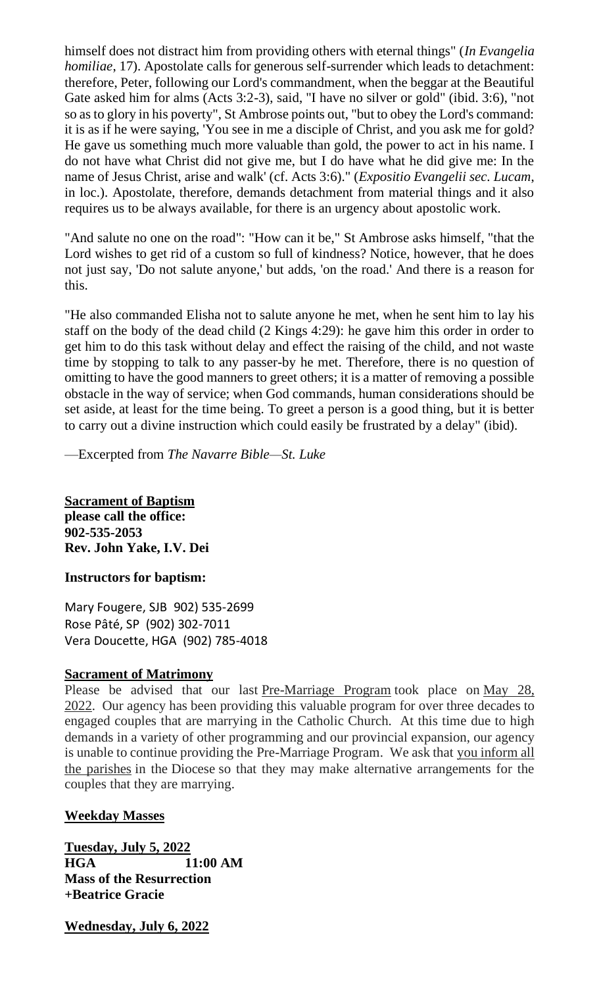himself does not distract him from providing others with eternal things" (*In Evangelia homiliae*, 17). Apostolate calls for generous self-surrender which leads to detachment: therefore, Peter, following our Lord's commandment, when the beggar at the Beautiful Gate asked him for alms (Acts 3:2-3), said, "I have no silver or gold" (ibid. 3:6), "not so as to glory in his poverty", St Ambrose points out, "but to obey the Lord's command: it is as if he were saying, 'You see in me a disciple of Christ, and you ask me for gold? He gave us something much more valuable than gold, the power to act in his name. I do not have what Christ did not give me, but I do have what he did give me: In the name of Jesus Christ, arise and walk' (cf. Acts 3:6)." (*Expositio Evangelii sec. Lucam*, in loc.). Apostolate, therefore, demands detachment from material things and it also requires us to be always available, for there is an urgency about apostolic work.

"And salute no one on the road": "How can it be," St Ambrose asks himself, "that the Lord wishes to get rid of a custom so full of kindness? Notice, however, that he does not just say, 'Do not salute anyone,' but adds, 'on the road.' And there is a reason for this.

"He also commanded Elisha not to salute anyone he met, when he sent him to lay his staff on the body of the dead child (2 Kings 4:29): he gave him this order in order to get him to do this task without delay and effect the raising of the child, and not waste time by stopping to talk to any passer-by he met. Therefore, there is no question of omitting to have the good manners to greet others; it is a matter of removing a possible obstacle in the way of service; when God commands, human considerations should be set aside, at least for the time being. To greet a person is a good thing, but it is better to carry out a divine instruction which could easily be frustrated by a delay" (ibid).

—Excerpted from *The Navarre Bible—St. Luke*

**Sacrament of Baptism please call the office: 902-535-2053 Rev. John Yake, I.V. Dei**

## **Instructors for baptism:**

Mary Fougere, SJB 902) 535-2699 Rose Pâté, SP (902) 302-7011 Vera Doucette, HGA (902) 785-4018

## **Sacrament of Matrimony**

Please be advised that our last Pre-Marriage Program took place on May 28, 2022. Our agency has been providing this valuable program for over three decades to engaged couples that are marrying in the Catholic Church. At this time due to high demands in a variety of other programming and our provincial expansion, our agency is unable to continue providing the Pre-Marriage Program. We ask that you inform all the parishes in the Diocese so that they may make alternative arrangements for the couples that they are marrying.

## **Weekday Masses**

**Tuesday, July 5, 2022 HGA 11:00 AM Mass of the Resurrection +Beatrice Gracie**

**Wednesday, July 6, 2022**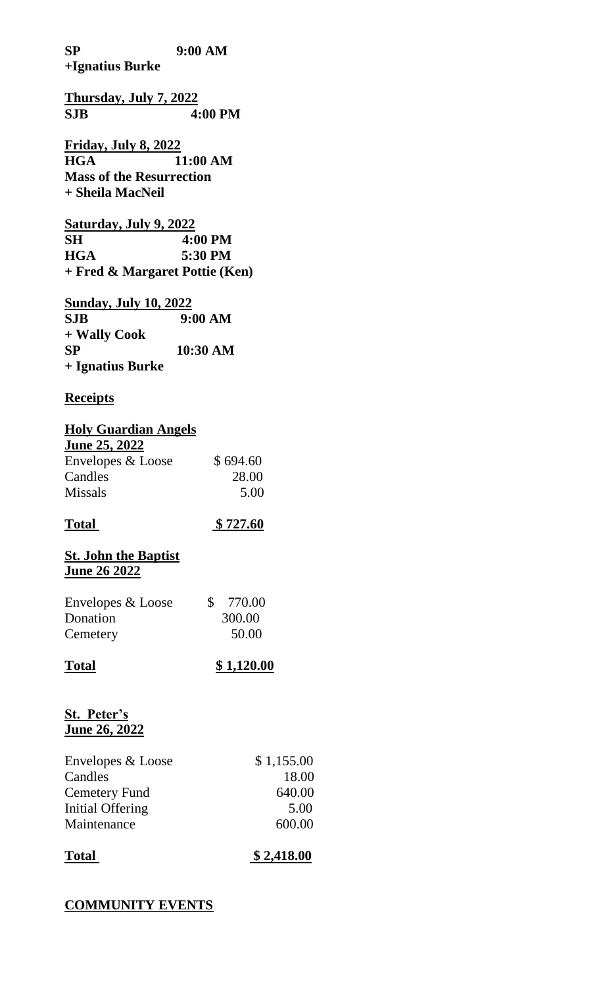**SP 9:00 AM +Ignatius Burke**

**Thursday, July 7, 2022 SJB 4:00 PM**

**Friday, July 8, 2022 HGA 11:00 AM Mass of the Resurrection + Sheila MacNeil**

**Saturday, July 9, 2022 SH 4:00 PM HGA 5:30 PM + Fred & Margaret Pottie (Ken)**

**Sunday, July 10, 2022 SJB 9:00 AM + Wally Cook SP 10:30 AM + Ignatius Burke** 

#### **Receipts**

| <b>Holy Guardian Angels</b> |          |  |
|-----------------------------|----------|--|
| June 25, 2022               |          |  |
| Envelopes & Loose           | \$694.60 |  |
| Candles                     | 28.00    |  |
| <b>Missals</b>              | 5.00     |  |
|                             |          |  |

| <b>Total</b> | \$727.60 |
|--------------|----------|
|--------------|----------|

## **St. John the Baptist June 26 2022**

| Envelopes & Loose | \$ 770.00 |
|-------------------|-----------|
| Donation          | 300.00    |
| Cemetery          | 50.00     |

| <b>Total</b> | \$1,120.00 |
|--------------|------------|
|--------------|------------|

## **St. Peter's June 26, 2022**

| Envelopes & Loose | \$1,155.00 |
|-------------------|------------|
| Candles           | 18.00      |
| Cemetery Fund     | 640.00     |
| Initial Offering  | 5.00       |
| Maintenance       | 600.00     |
|                   |            |

**Total \$ 2,418.00**

# **COMMUNITY EVENTS**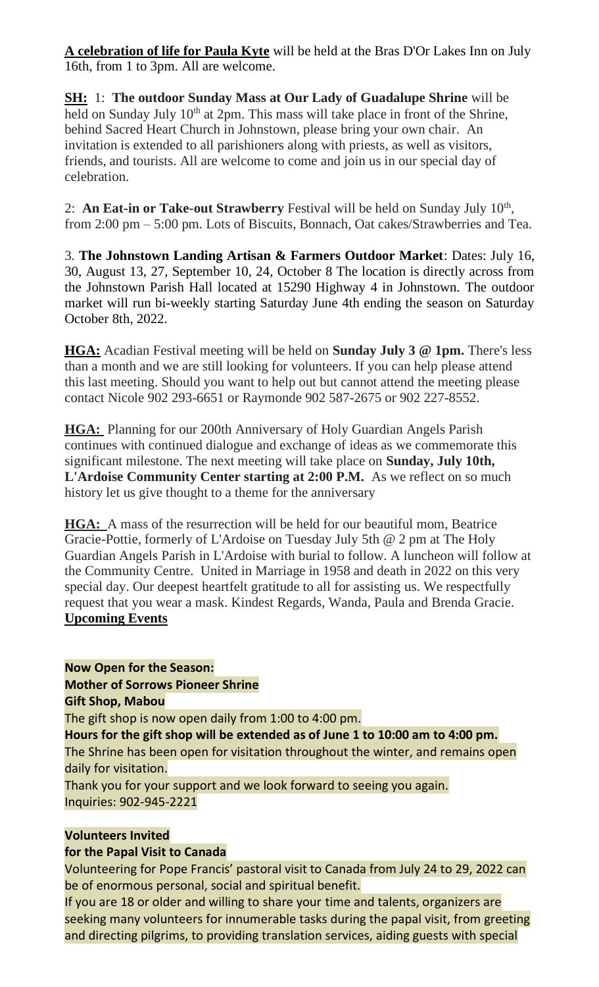**A celebration of life for Paula Kyte** will be held at the Bras D'Or Lakes Inn on July 16th, from 1 to 3pm. All are welcome.

**SH:** 1: **The outdoor Sunday Mass at Our Lady of Guadalupe Shrine** will be held on Sunday July  $10<sup>th</sup>$  at  $2pm$ . This mass will take place in front of the Shrine, behind Sacred Heart Church in Johnstown, please bring your own chair. An invitation is extended to all parishioners along with priests, as well as visitors, friends, and tourists. All are welcome to come and join us in our special day of celebration.

2: An Eat-in or Take-out Strawberry Festival will be held on Sunday July 10<sup>th</sup>, from 2:00 pm – 5:00 pm. Lots of Biscuits, Bonnach, Oat cakes/Strawberries and Tea.

3. **The Johnstown Landing Artisan & Farmers Outdoor Market**: Dates: July 16, 30, August 13, 27, September 10, 24, October 8 The location is directly across from the Johnstown Parish Hall located at 15290 Highway 4 in Johnstown. The outdoor market will run bi-weekly starting Saturday June 4th ending the season on Saturday October 8th, 2022.

**HGA:** Acadian Festival meeting will be held on **Sunday July 3 @ 1pm.** There's less than a month and we are still looking for volunteers. If you can help please attend this last meeting. Should you want to help out but cannot attend the meeting please contact Nicole 902 293-6651 or Raymonde 902 587-2675 or 902 227-8552.

**HGA:** Planning for our 200th Anniversary of Holy Guardian Angels Parish continues with continued dialogue and exchange of ideas as we commemorate this significant milestone. The next meeting will take place on **Sunday, July 10th, L'Ardoise Community Center starting at 2:00 P.M.** As we reflect on so much history let us give thought to a theme for the anniversary

**HGA:** A mass of the resurrection will be held for our beautiful mom, Beatrice Gracie-Pottie, formerly of L'Ardoise on Tuesday July 5th @ 2 pm at The Holy Guardian Angels Parish in L'Ardoise with burial to follow. A luncheon will follow at the Community Centre. United in Marriage in 1958 and death in 2022 on this very special day. Our deepest heartfelt gratitude to all for assisting us. We respectfully request that you wear a mask. Kindest Regards, Wanda, Paula and Brenda Gracie. **Upcoming Events**

**Now Open for the Season: Mother of Sorrows Pioneer Shrine Gift Shop, Mabou** The gift shop is now open daily from 1:00 to 4:00 pm. **Hours for the gift shop will be extended as of June 1 to 10:00 am to 4:00 pm.** The Shrine has been open for visitation throughout the winter, and remains open daily for visitation. Thank you for your support and we look forward to seeing you again. Inquiries: 902-945-2221

# **Volunteers Invited**

# **for the Papal Visit to Canada**

Volunteering for Pope Francis' pastoral visit to Canada from July 24 to 29, 2022 can be of enormous personal, social and spiritual benefit.

If you are 18 or older and willing to share your time and talents, organizers are seeking many volunteers for innumerable tasks during the papal visit, from greeting and directing pilgrims, to providing translation services, aiding guests with special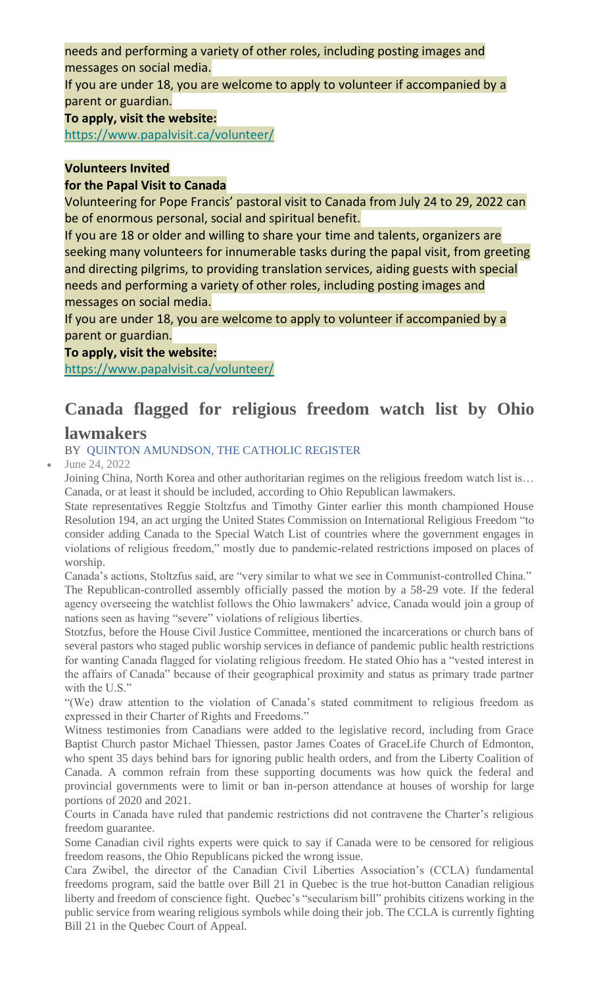needs and performing a variety of other roles, including posting images and messages on social media.

If you are under 18, you are welcome to apply to volunteer if accompanied by a parent or guardian.

**To apply, visit the website:**

[https://www.papalvisit.ca/volunteer/](https://antigonishdiocese.us11.list-manage.com/track/click?u=46108c95b96680ff598b4aa1d&id=635ff3c79c&e=60939d450d)

## **Volunteers Invited**

## **for the Papal Visit to Canada**

Volunteering for Pope Francis' pastoral visit to Canada from July 24 to 29, 2022 can be of enormous personal, social and spiritual benefit.

If you are 18 or older and willing to share your time and talents, organizers are seeking many volunteers for innumerable tasks during the papal visit, from greeting and directing pilgrims, to providing translation services, aiding guests with special needs and performing a variety of other roles, including posting images and messages on social media.

If you are under 18, you are welcome to apply to volunteer if accompanied by a parent or guardian.

## **To apply, visit the website:**

[https://www.papalvisit.ca/volunteer/](https://antigonishdiocese.us11.list-manage.com/track/click?u=46108c95b96680ff598b4aa1d&id=635ff3c79c&e=60939d450d)

# **Canada flagged for religious freedom watch list by Ohio lawmakers**

# BY [QUINTON AMUNDSON, THE CATHOLIC REGISTER](https://www.catholicregister.org/itemlist/user/8327-quintonamundsonthecatholicregister)

• June 24, 2022

Joining China, North Korea and other authoritarian regimes on the religious freedom watch list is… Canada, or at least it should be included, according to Ohio Republican lawmakers.

State representatives Reggie Stoltzfus and Timothy Ginter earlier this month championed House Resolution 194, an act urging the United States Commission on International Religious Freedom "to consider adding Canada to the Special Watch List of countries where the government engages in violations of religious freedom," mostly due to pandemic-related restrictions imposed on places of worship.

Canada's actions, Stoltzfus said, are "very similar to what we see in Communist-controlled China." The Republican-controlled assembly officially passed the motion by a 58-29 vote. If the federal agency overseeing the watchlist follows the Ohio lawmakers' advice, Canada would join a group of nations seen as having "severe" violations of religious liberties.

Stotzfus, before the House Civil Justice Committee, mentioned the incarcerations or church bans of several pastors who staged public worship services in defiance of pandemic public health restrictions for wanting Canada flagged for violating religious freedom. He stated Ohio has a "vested interest in the affairs of Canada" because of their geographical proximity and status as primary trade partner with the U.S."

"(We) draw attention to the violation of Canada's stated commitment to religious freedom as expressed in their Charter of Rights and Freedoms."

Witness testimonies from Canadians were added to the legislative record, including from Grace Baptist Church pastor Michael Thiessen, pastor James Coates of GraceLife Church of Edmonton, who spent 35 days behind bars for ignoring public health orders, and from the Liberty Coalition of Canada. A common refrain from these supporting documents was how quick the federal and provincial governments were to limit or ban in-person attendance at houses of worship for large portions of 2020 and 2021.

Courts in Canada have ruled that pandemic restrictions did not contravene the Charter's religious freedom guarantee.

Some Canadian civil rights experts were quick to say if Canada were to be censored for religious freedom reasons, the Ohio Republicans picked the wrong issue.

Cara Zwibel, the director of the Canadian Civil Liberties Association's (CCLA) fundamental freedoms program, said the battle over Bill 21 in Quebec is the true hot-button Canadian religious liberty and freedom of conscience fight. Quebec's "secularism bill" prohibits citizens working in the public service from wearing religious symbols while doing their job. The CCLA is currently fighting Bill 21 in the Quebec Court of Appeal.